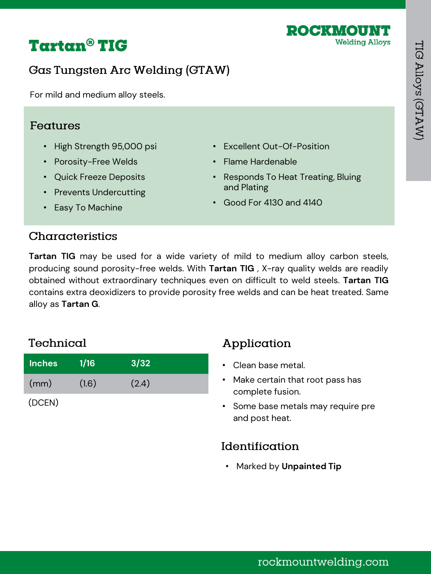

# **Tartan<sup>®</sup> TIG**

# **Gas Tungsten Arc Welding (GTAW)**

For mild and medium alloy steels.

### Features

- High Strength 95,000 psi
- Porosity-Free Welds
- Quick Freeze Deposits
- Prevents Undercutting
- Easy To Machine
- Excellent Out-Of-Position
- Flame Hardenable
- Responds To Heat Treating, Bluing and Plating
- Good For 4130 and 4140

## Characteristics

**Tartan TIG** may be used for a wide variety of mild to medium alloy carbon steels, producing sound porosity-free welds. With **Tartan TIG** , X-ray quality welds are readily obtained without extraordinary techniques even on difficult to weld steels. **Tartan TIG** contains extra deoxidizers to provide porosity free welds and can be heat treated. Same alloy as **Tartan G**.

# Technical

| <b>Inches</b> | 1/16  | 3/32  |  |
|---------------|-------|-------|--|
| (mm)          | (1.6) | (2.4) |  |
| (DCEN)        |       |       |  |

Application

- Clean base metal.
- Make certain that root pass has complete fusion.
- Some base metals may require pre and post heat.

# Identification

• Marked by **Unpainted Tip**

rockmountwelding.com